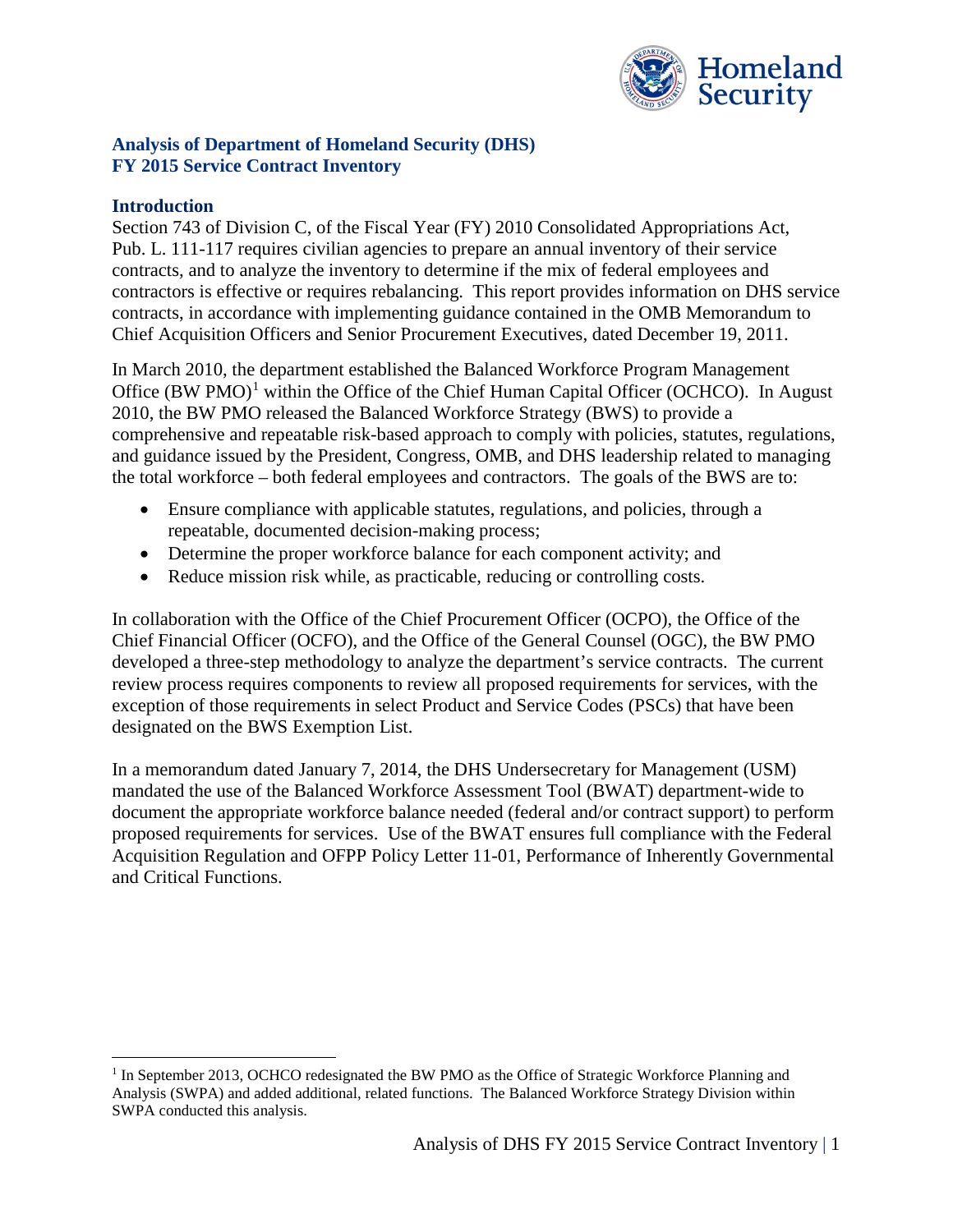

#### **Analysis of Department of Homeland Security (DHS) FY 2015 Service Contract Inventory**

#### **Introduction**

Section 743 of Division C, of the Fiscal Year (FY) 2010 Consolidated Appropriations Act, Pub. L. 111-117 requires civilian agencies to prepare an annual inventory of their service contracts, and to analyze the inventory to determine if the mix of federal employees and contractors is effective or requires rebalancing. This report provides information on DHS service contracts, in accordance with implementing guidance contained in the OMB Memorandum to Chief Acquisition Officers and Senior Procurement Executives, dated December 19, 2011.

In March 2010, the department established the Balanced Workforce Program Management Office (BW PMO)<sup>[1](#page-0-0)</sup> within the Office of the Chief Human Capital Officer (OCHCO). In August 2010, the BW PMO released the Balanced Workforce Strategy (BWS) to provide a comprehensive and repeatable risk-based approach to comply with policies, statutes, regulations, and guidance issued by the President, Congress, OMB, and DHS leadership related to managing the total workforce – both federal employees and contractors. The goals of the BWS are to:

- Ensure compliance with applicable statutes, regulations, and policies, through a repeatable, documented decision-making process;
- Determine the proper workforce balance for each component activity; and
- Reduce mission risk while, as practicable, reducing or controlling costs.

In collaboration with the Office of the Chief Procurement Officer (OCPO), the Office of the Chief Financial Officer (OCFO), and the Office of the General Counsel (OGC), the BW PMO developed a three-step methodology to analyze the department's service contracts. The current review process requires components to review all proposed requirements for services, with the exception of those requirements in select Product and Service Codes (PSCs) that have been designated on the BWS Exemption List.

In a memorandum dated January 7, 2014, the DHS Undersecretary for Management (USM) mandated the use of the Balanced Workforce Assessment Tool (BWAT) department-wide to document the appropriate workforce balance needed (federal and/or contract support) to perform proposed requirements for services. Use of the BWAT ensures full compliance with the Federal Acquisition Regulation and OFPP Policy Letter 11-01, Performance of Inherently Governmental and Critical Functions.

<span id="page-0-0"></span><sup>&</sup>lt;sup>1</sup> In September 2013, OCHCO redesignated the BW PMO as the Office of Strategic Workforce Planning and Analysis (SWPA) and added additional, related functions. The Balanced Workforce Strategy Division within SWPA conducted this analysis.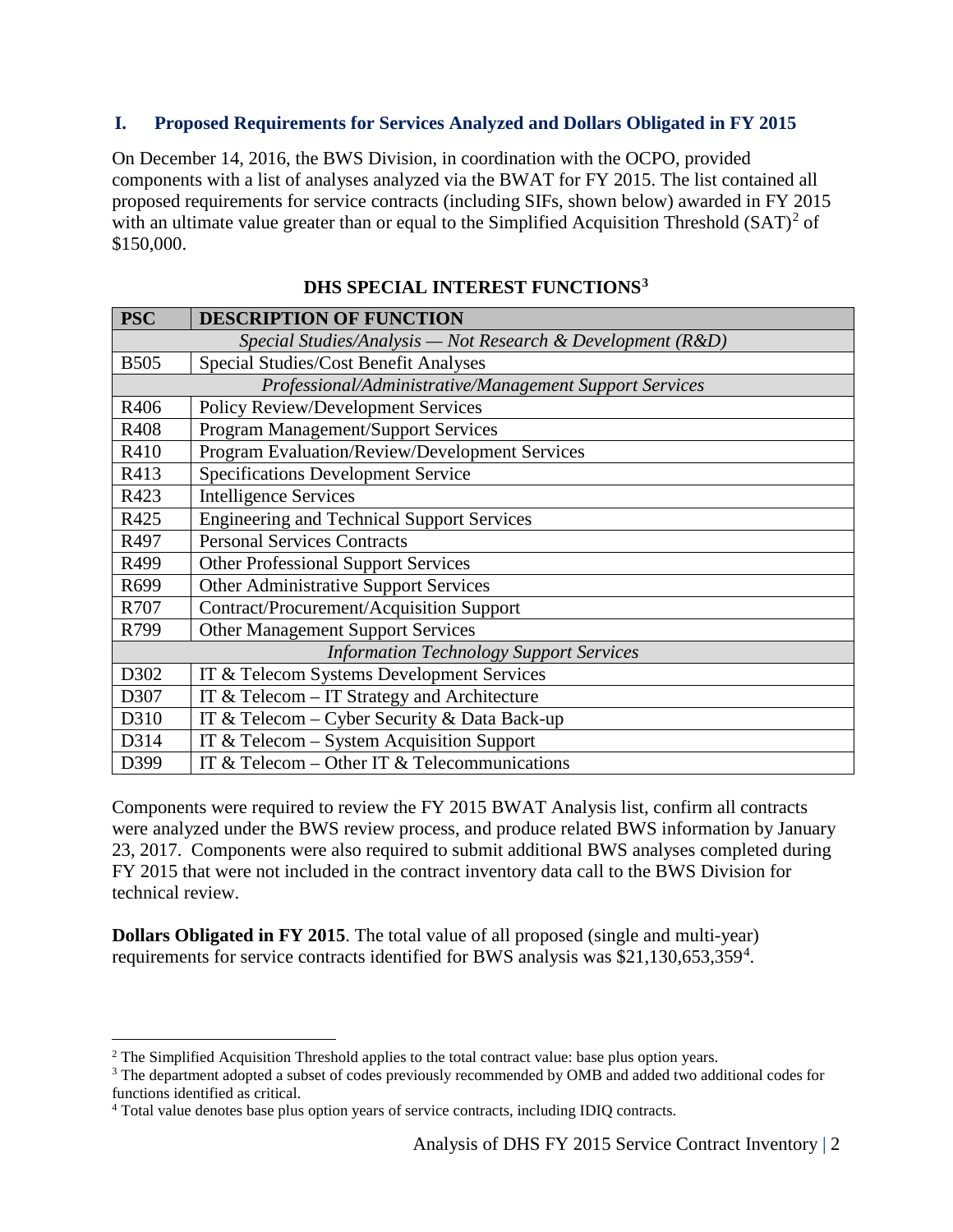### **I. Proposed Requirements for Services Analyzed and Dollars Obligated in FY 2015**

On December 14, 2016, the BWS Division, in coordination with the OCPO, provided components with a list of analyses analyzed via the BWAT for FY 2015. The list contained all proposed requirements for service contracts (including SIFs, shown below) awarded in FY 2015 with an ultimate value greater than or equal to the Simplified Acquisition Threshold  $(SAT)^2$  $(SAT)^2$  of \$150,000.

| <b>PSC</b>                                                    | <b>DESCRIPTION OF FUNCTION</b>                        |  |
|---------------------------------------------------------------|-------------------------------------------------------|--|
| Special Studies/Analysis — Not Research & Development $(R&D)$ |                                                       |  |
| <b>B505</b>                                                   | Special Studies/Cost Benefit Analyses                 |  |
| Professional/Administrative/Management Support Services       |                                                       |  |
| R406                                                          | <b>Policy Review/Development Services</b>             |  |
| R408                                                          | Program Management/Support Services                   |  |
| R410                                                          | <b>Program Evaluation/Review/Development Services</b> |  |
| R413                                                          | <b>Specifications Development Service</b>             |  |
| R423                                                          | <b>Intelligence Services</b>                          |  |
| R425                                                          | <b>Engineering and Technical Support Services</b>     |  |
| R497                                                          | <b>Personal Services Contracts</b>                    |  |
| R499                                                          | <b>Other Professional Support Services</b>            |  |
| R699                                                          | <b>Other Administrative Support Services</b>          |  |
| R707                                                          | <b>Contract/Procurement/Acquisition Support</b>       |  |
| R799                                                          | <b>Other Management Support Services</b>              |  |
| <b>Information Technology Support Services</b>                |                                                       |  |
| D302                                                          | IT & Telecom Systems Development Services             |  |
| D307                                                          | IT & Telecom $-$ IT Strategy and Architecture         |  |
| D310                                                          | IT & Telecom – Cyber Security & Data Back-up          |  |
| D314                                                          | IT & Telecom $-$ System Acquisition Support           |  |
| D399                                                          | IT & Telecom – Other IT & Telecommunications          |  |

# **DHS SPECIAL INTEREST FUNCTIONS[3](#page-1-1)**

Components were required to review the FY 2015 BWAT Analysis list, confirm all contracts were analyzed under the BWS review process, and produce related BWS information by January 23, 2017. Components were also required to submit additional BWS analyses completed during FY 2015 that were not included in the contract inventory data call to the BWS Division for technical review.

**Dollars Obligated in FY 2015**. The total value of all proposed (single and multi-year) requirements for service contracts identified for BWS analysis was \$21,130,653,359<sup>[4](#page-1-2)</sup>.

<span id="page-1-0"></span><sup>&</sup>lt;sup>2</sup> The Simplified Acquisition Threshold applies to the total contract value: base plus option years.  $3$  The department adopted a subset of codes previously recommended by OMB and added two additional codes for

<span id="page-1-1"></span>functions identified as critical.

<span id="page-1-2"></span><sup>4</sup> Total value denotes base plus option years of service contracts, including IDIQ contracts.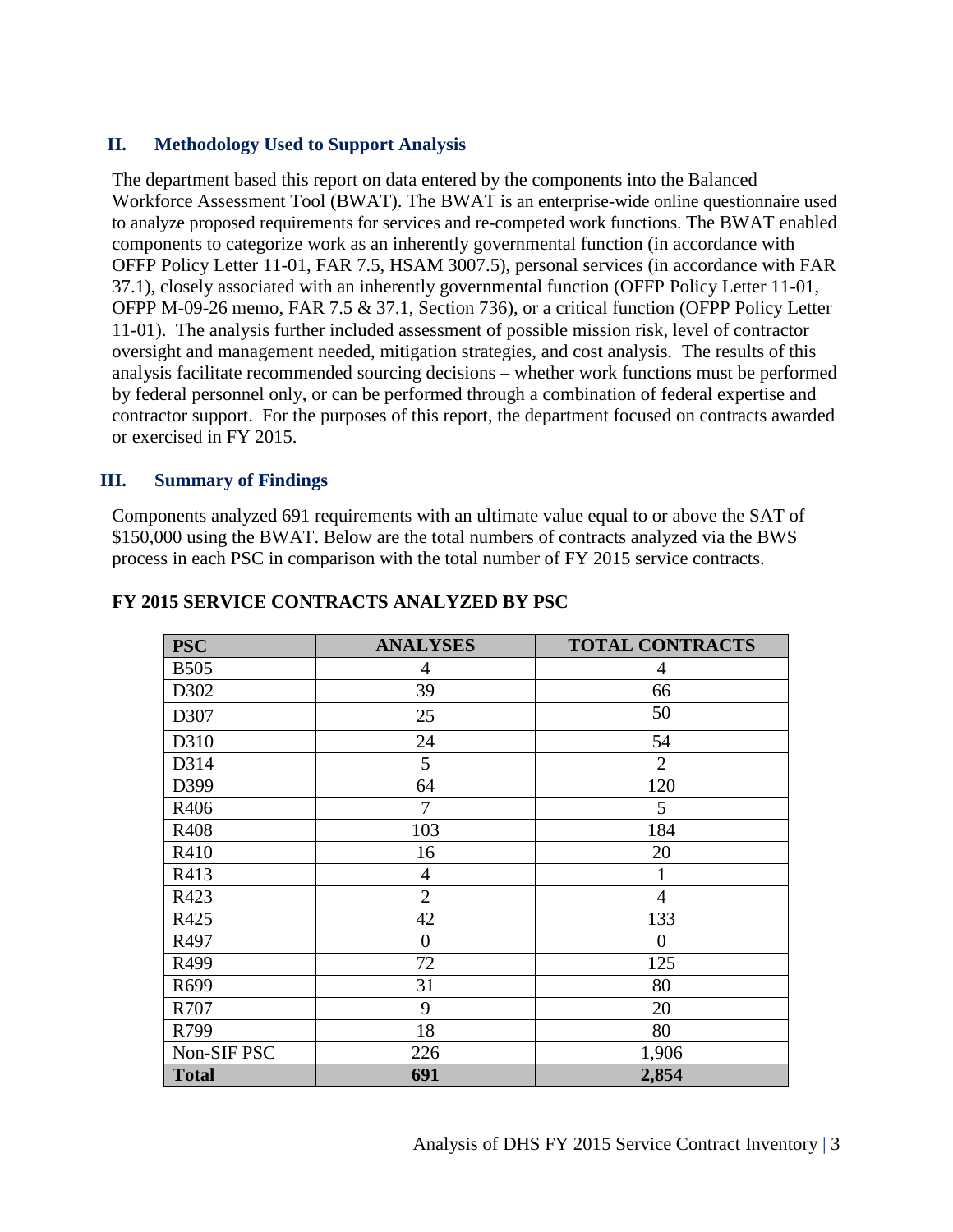### **II. Methodology Used to Support Analysis**

The department based this report on data entered by the components into the Balanced Workforce Assessment Tool (BWAT). The BWAT is an enterprise-wide online questionnaire used to analyze proposed requirements for services and re-competed work functions. The BWAT enabled components to categorize work as an inherently governmental function (in accordance with OFFP Policy Letter 11-01, FAR 7.5, HSAM 3007.5), personal services (in accordance with FAR 37.1), closely associated with an inherently governmental function (OFFP Policy Letter 11-01, OFPP M-09-26 memo, FAR 7.5 & 37.1, Section 736), or a critical function (OFPP Policy Letter 11-01). The analysis further included assessment of possible mission risk, level of contractor oversight and management needed, mitigation strategies, and cost analysis. The results of this analysis facilitate recommended sourcing decisions – whether work functions must be performed by federal personnel only, or can be performed through a combination of federal expertise and contractor support. For the purposes of this report, the department focused on contracts awarded or exercised in FY 2015.

#### **III. Summary of Findings**

Components analyzed 691 requirements with an ultimate value equal to or above the SAT of \$150,000 using the BWAT. Below are the total numbers of contracts analyzed via the BWS process in each PSC in comparison with the total number of FY 2015 service contracts.

| <b>PSC</b>   | <b>ANALYSES</b> | <b>TOTAL CONTRACTS</b> |
|--------------|-----------------|------------------------|
| <b>B505</b>  | $\overline{4}$  | 4                      |
| D302         | 39              | 66                     |
| D307         | 25              | 50                     |
| D310         | 24              | 54                     |
| D314         | 5               | $\overline{2}$         |
| D399         | 64              | 120                    |
| R406         | 7               | 5                      |
| R408         | 103             | 184                    |
| R410         | 16              | 20                     |
| R413         | $\overline{4}$  | 1                      |
| R423         | $\overline{2}$  | $\overline{4}$         |
| R425         | 42              | 133                    |
| R497         | $\overline{0}$  | 0                      |
| R499         | 72              | 125                    |
| R699         | 31              | 80                     |
| R707         | 9               | 20                     |
| R799         | 18              | 80                     |
| Non-SIF PSC  | 226             | 1,906                  |
| <b>Total</b> | 691             | 2,854                  |

#### **FY 2015 SERVICE CONTRACTS ANALYZED BY PSC**

Analysis of DHS FY 2015 Service Contract Inventory | 3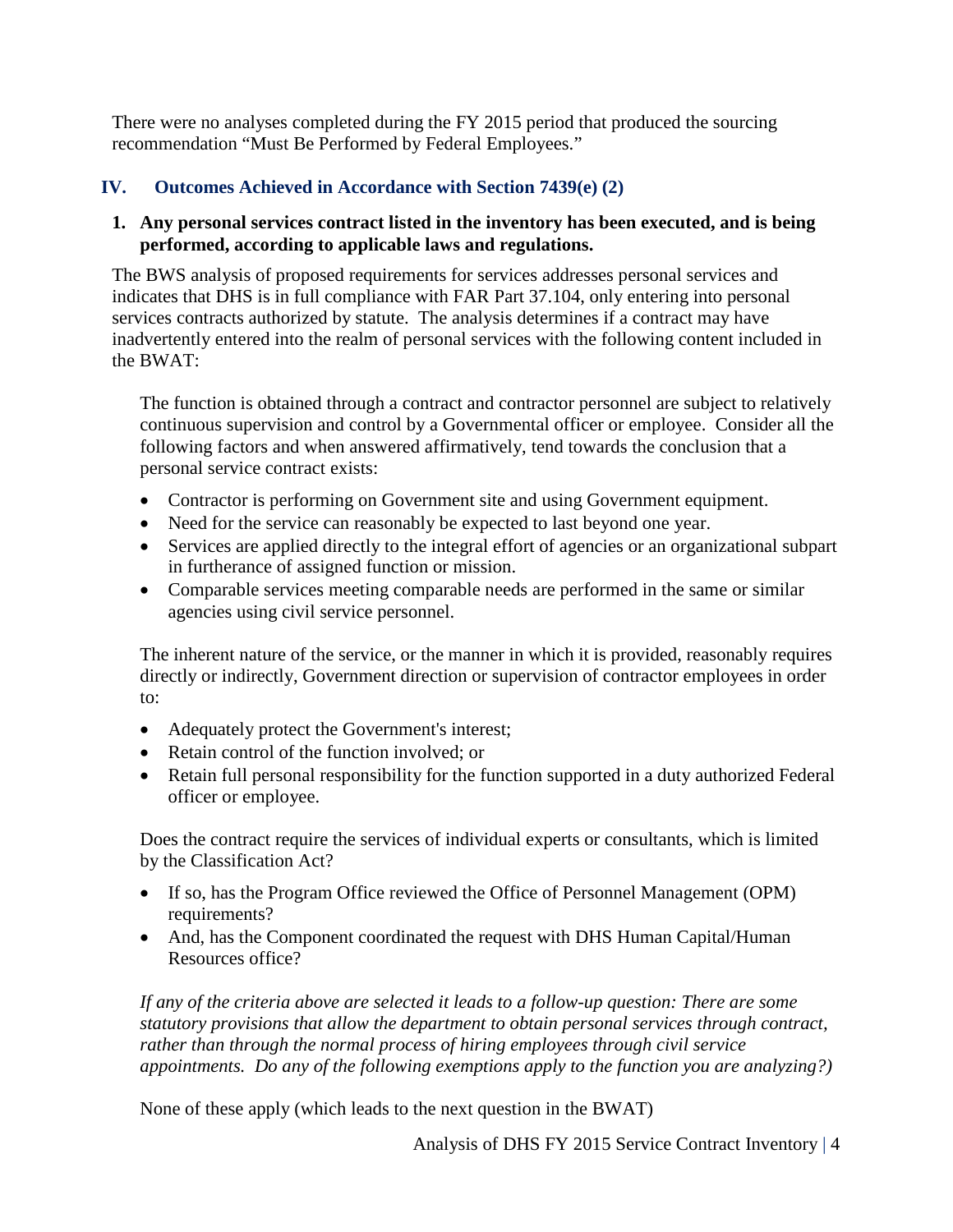There were no analyses completed during the FY 2015 period that produced the sourcing recommendation "Must Be Performed by Federal Employees."

# **IV. Outcomes Achieved in Accordance with Section 7439(e) (2)**

# **1. Any personal services contract listed in the inventory has been executed, and is being performed, according to applicable laws and regulations.**

The BWS analysis of proposed requirements for services addresses personal services and indicates that DHS is in full compliance with FAR Part 37.104, only entering into personal services contracts authorized by statute. The analysis determines if a contract may have inadvertently entered into the realm of personal services with the following content included in the BWAT:

The function is obtained through a contract and contractor personnel are subject to relatively continuous supervision and control by a Governmental officer or employee. Consider all the following factors and when answered affirmatively, tend towards the conclusion that a personal service contract exists:

- Contractor is performing on Government site and using Government equipment.
- Need for the service can reasonably be expected to last beyond one year.
- Services are applied directly to the integral effort of agencies or an organizational subpart in furtherance of assigned function or mission.
- Comparable services meeting comparable needs are performed in the same or similar agencies using civil service personnel.

The inherent nature of the service, or the manner in which it is provided, reasonably requires directly or indirectly, Government direction or supervision of contractor employees in order to:

- Adequately protect the Government's interest;
- Retain control of the function involved; or
- Retain full personal responsibility for the function supported in a duty authorized Federal officer or employee.

Does the contract require the services of individual experts or consultants, which is limited by the Classification Act?

- If so, has the Program Office reviewed the Office of Personnel Management (OPM) requirements?
- And, has the Component coordinated the request with DHS Human Capital/Human Resources office?

*If any of the criteria above are selected it leads to a follow-up question: There are some statutory provisions that allow the department to obtain personal services through contract, rather than through the normal process of hiring employees through civil service appointments. Do any of the following exemptions apply to the function you are analyzing?)*

None of these apply (which leads to the next question in the BWAT)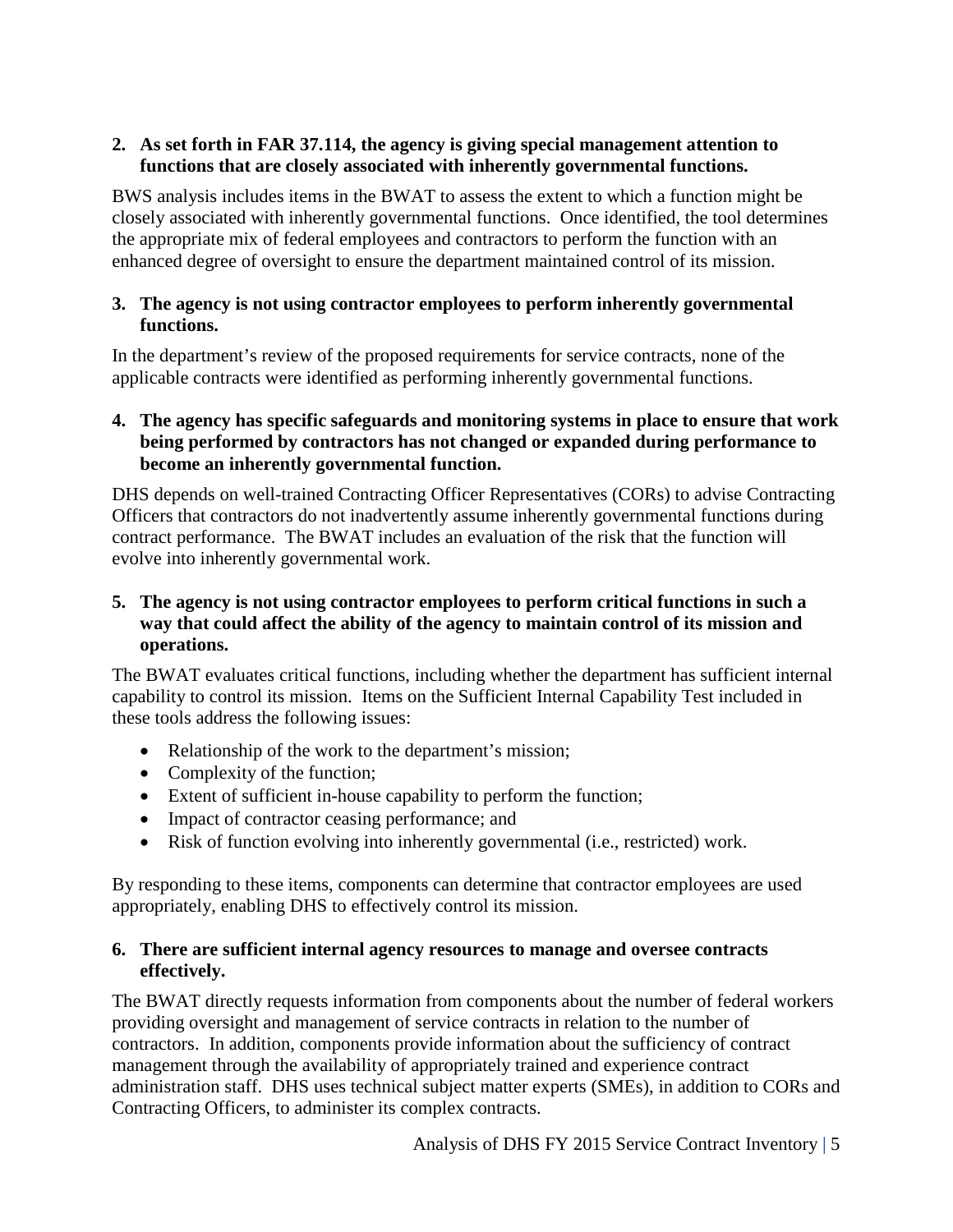### **2. As set forth in FAR 37.114, the agency is giving special management attention to functions that are closely associated with inherently governmental functions.**

BWS analysis includes items in the BWAT to assess the extent to which a function might be closely associated with inherently governmental functions. Once identified, the tool determines the appropriate mix of federal employees and contractors to perform the function with an enhanced degree of oversight to ensure the department maintained control of its mission.

#### **3. The agency is not using contractor employees to perform inherently governmental functions.**

In the department's review of the proposed requirements for service contracts, none of the applicable contracts were identified as performing inherently governmental functions.

#### **4. The agency has specific safeguards and monitoring systems in place to ensure that work being performed by contractors has not changed or expanded during performance to become an inherently governmental function.**

DHS depends on well-trained Contracting Officer Representatives (CORs) to advise Contracting Officers that contractors do not inadvertently assume inherently governmental functions during contract performance. The BWAT includes an evaluation of the risk that the function will evolve into inherently governmental work.

### **5. The agency is not using contractor employees to perform critical functions in such a way that could affect the ability of the agency to maintain control of its mission and operations.**

The BWAT evaluates critical functions, including whether the department has sufficient internal capability to control its mission. Items on the Sufficient Internal Capability Test included in these tools address the following issues:

- Relationship of the work to the department's mission;
- Complexity of the function;
- Extent of sufficient in-house capability to perform the function;
- Impact of contractor ceasing performance; and
- Risk of function evolving into inherently governmental (i.e., restricted) work.

By responding to these items, components can determine that contractor employees are used appropriately, enabling DHS to effectively control its mission.

#### **6. There are sufficient internal agency resources to manage and oversee contracts effectively.**

The BWAT directly requests information from components about the number of federal workers providing oversight and management of service contracts in relation to the number of contractors. In addition, components provide information about the sufficiency of contract management through the availability of appropriately trained and experience contract administration staff. DHS uses technical subject matter experts (SMEs), in addition to CORs and Contracting Officers, to administer its complex contracts.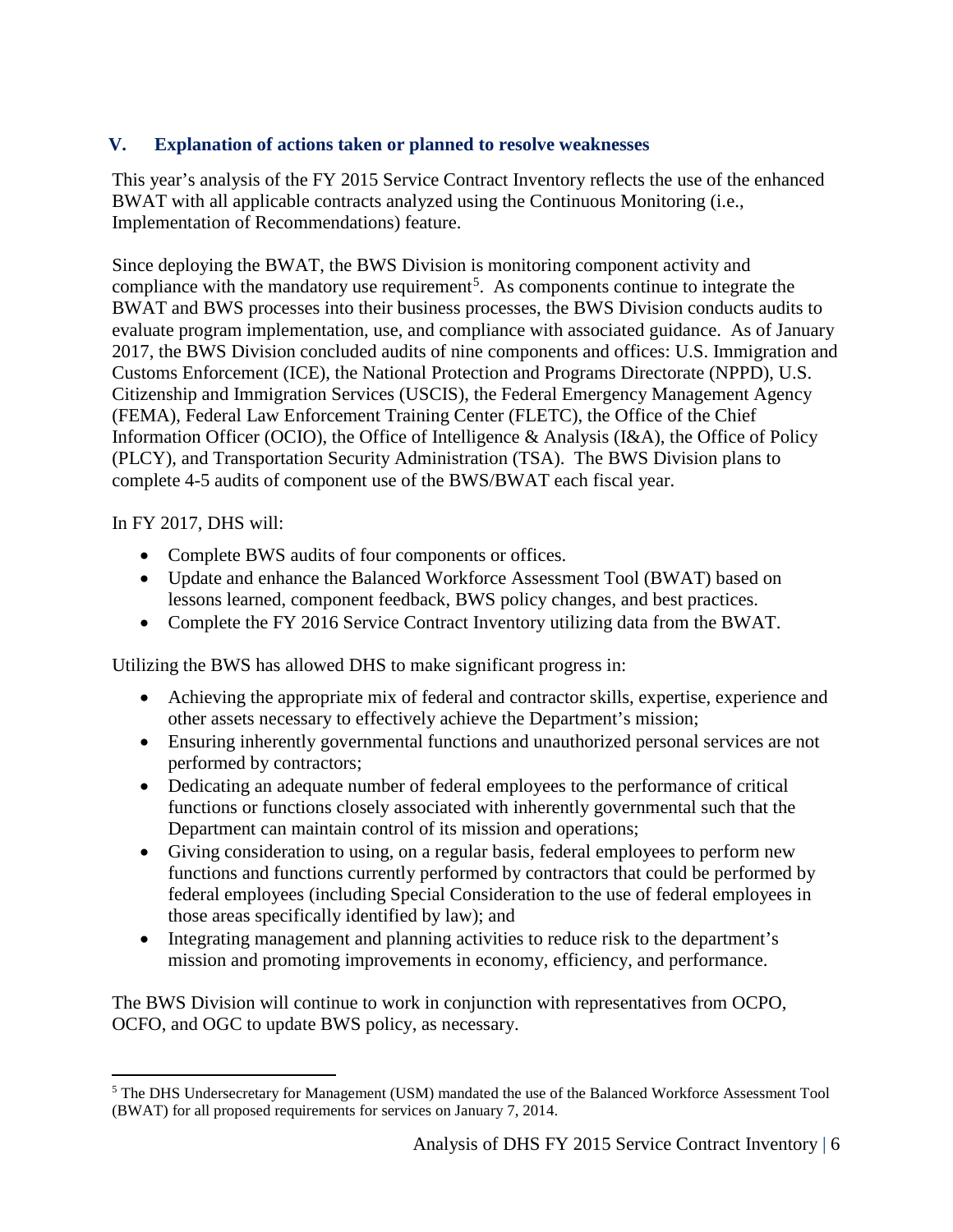# **V. Explanation of actions taken or planned to resolve weaknesses**

This year's analysis of the FY 2015 Service Contract Inventory reflects the use of the enhanced BWAT with all applicable contracts analyzed using the Continuous Monitoring (i.e., Implementation of Recommendations) feature.

Since deploying the BWAT, the BWS Division is monitoring component activity and compliance with the mandatory use requirement<sup>[5](#page-5-0)</sup>. As components continue to integrate the BWAT and BWS processes into their business processes, the BWS Division conducts audits to evaluate program implementation, use, and compliance with associated guidance. As of January 2017, the BWS Division concluded audits of nine components and offices: U.S. Immigration and Customs Enforcement (ICE), the National Protection and Programs Directorate (NPPD), U.S. Citizenship and Immigration Services (USCIS), the Federal Emergency Management Agency (FEMA), Federal Law Enforcement Training Center (FLETC), the Office of the Chief Information Officer (OCIO), the Office of Intelligence & Analysis (I&A), the Office of Policy (PLCY), and Transportation Security Administration (TSA). The BWS Division plans to complete 4-5 audits of component use of the BWS/BWAT each fiscal year.

In FY 2017, DHS will:

- Complete BWS audits of four components or offices.
- Update and enhance the Balanced Workforce Assessment Tool (BWAT) based on lessons learned, component feedback, BWS policy changes, and best practices.
- Complete the FY 2016 Service Contract Inventory utilizing data from the BWAT.

Utilizing the BWS has allowed DHS to make significant progress in:

- Achieving the appropriate mix of federal and contractor skills, expertise, experience and other assets necessary to effectively achieve the Department's mission;
- Ensuring inherently governmental functions and unauthorized personal services are not performed by contractors;
- Dedicating an adequate number of federal employees to the performance of critical functions or functions closely associated with inherently governmental such that the Department can maintain control of its mission and operations;
- Giving consideration to using, on a regular basis, federal employees to perform new functions and functions currently performed by contractors that could be performed by federal employees (including Special Consideration to the use of federal employees in those areas specifically identified by law); and
- Integrating management and planning activities to reduce risk to the department's mission and promoting improvements in economy, efficiency, and performance.

The BWS Division will continue to work in conjunction with representatives from OCPO, OCFO, and OGC to update BWS policy, as necessary.

<span id="page-5-0"></span> <sup>5</sup> The DHS Undersecretary for Management (USM) mandated the use of the Balanced Workforce Assessment Tool (BWAT) for all proposed requirements for services on January 7, 2014.